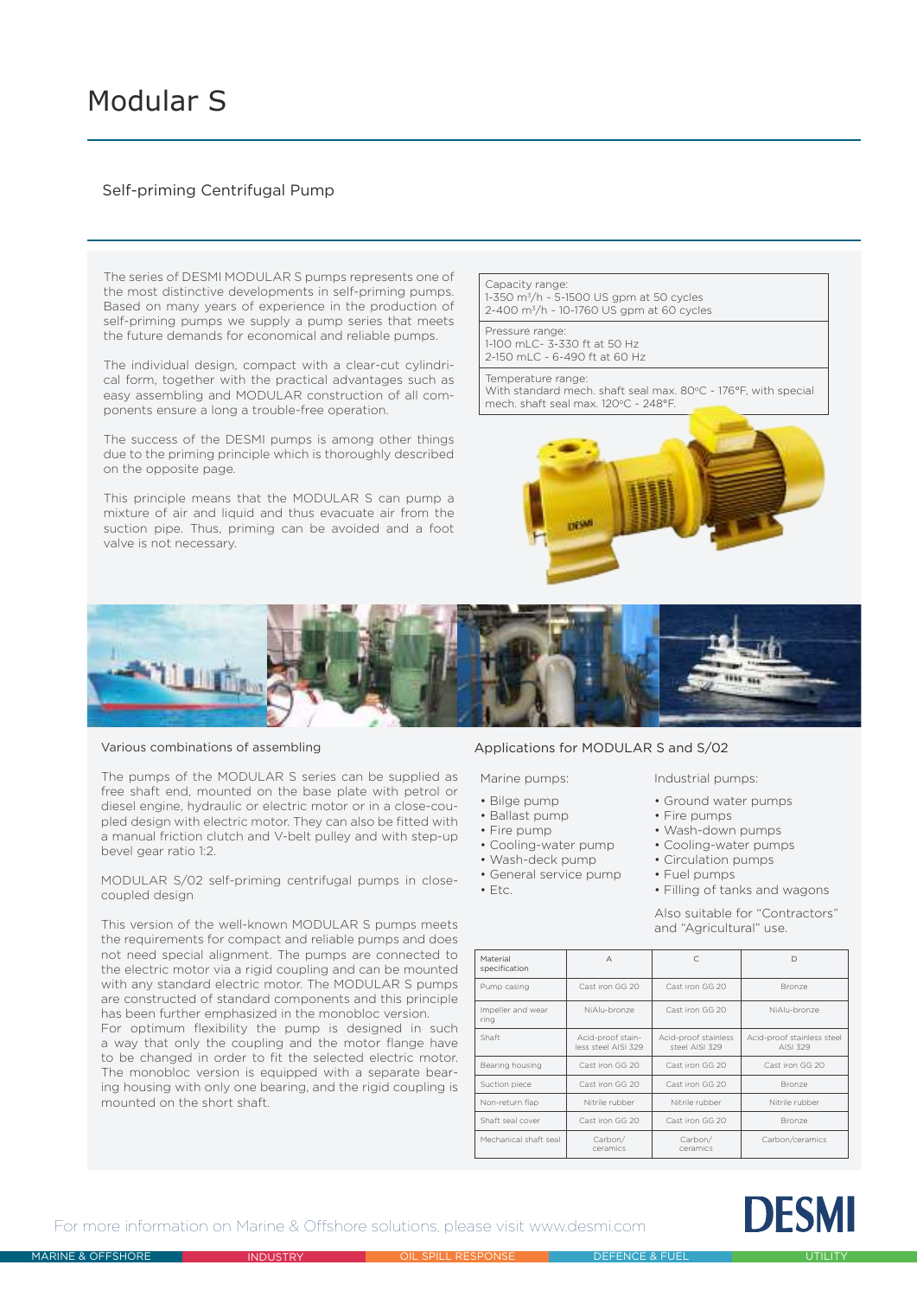# Modular S

# Self-priming Centrifugal Pump

The series of DESMI MODULAR S pumps represents one of the most distinctive developments in self-priming pumps. Based on many years of experience in the production of self-priming pumps we supply a pump series that meets the future demands for economical and reliable pumps.

The individual design, compact with a clear-cut cylindrical form, together with the practical advantages such as easy assembling and MODULAR construction of all components ensure a long a trouble-free operation.

The success of the DESMI pumps is among other things due to the priming principle which is thoroughly described on the opposite page.

This principle means that the MODULAR S can pump a mixture of air and liquid and thus evacuate air from the suction pipe. Thus, priming can be avoided and a foot valve is not necessary.

## Capacity range:

1-350 m<sup>3</sup>/h ~ 5-1500 US gpm at 50 cycles 2-400 m3/h ~ 10-1760 US gpm at 60 cycles

#### Pressure range: 1-100 mLC~ 3-330 ft at 50 Hz

2-150 mLC ~ 6-490 ft at 60 Hz

#### Temperature range:

With standard mech. shaft seal max.  $80^{\circ}$ C ~ 176°F, with special mech. shaft seal max. 120°C ~ 248°F.





Various combinations of assembling

The pumps of the MODULAR S series can be supplied as free shaft end, mounted on the base plate with petrol or diesel engine, hydraulic or electric motor or in a close-coupled design with electric motor. They can also be fitted with a manual friction clutch and V-belt pulley and with step-up bevel gear ratio 1:2.

MODULAR S/02 self-priming centrifugal pumps in closecoupled design

This version of the well-known MODULAR S pumps meets the requirements for compact and reliable pumps and does not need special alignment. The pumps are connected to the electric motor via a rigid coupling and can be mounted with any standard electric motor. The MODULAR S pumps are constructed of standard components and this principle has been further emphasized in the monobloc version.

For optimum flexibility the pump is designed in such a way that only the coupling and the motor flange have to be changed in order to fit the selected electric motor. The monobloc version is equipped with a separate bearing housing with only one bearing, and the rigid coupling is mounted on the short shaft.

## Applications for MODULAR S and S/02

#### Marine pumps: Industrial pumps:

- Bilge pump
- Ballast pump
- Fire pump
- Cooling-water pump
- Wash-deck pump
- General service pump
- $\cdot$  Etc.

#### • Ground water pumps

- Fire pumps
	- Wash-down pumps
	- Cooling-water pumps
	- Circulation pumps
- Fuel pumps
- Filling of tanks and wagons

Also suitable for "Contractors" and "Agricultural" use.

| Material<br>specification | $\overline{A}$                          |                                        | D                                      |
|---------------------------|-----------------------------------------|----------------------------------------|----------------------------------------|
| Pump casing               | Cast iron GG 20                         | Cast iron GG 20                        | Bronze                                 |
| Impeller and wear<br>ring | NiAlu-bronze                            | Cast iron GG 20                        | NiAlu-bronze                           |
| Shaft                     | Acid-proof stain-<br>less steel AISL329 | Acid-proof stainless<br>steel AISI 329 | Acid-proof stainless steel<br>AISI 329 |
| Bearing housing           | Cast iron GG 20                         | Cast iron GG 20                        | Cast iron GG 20                        |
| Suction piece             | Cast iron GG 20                         | Cast iron GG 20                        | Bronze                                 |
| Non-return flap           | Nitrile rubber                          | Nitrile rubber                         | Nitrile rubber                         |
| Shaft seal cover          | Cast iron GG 20                         | Cast iron GG 20                        | Bronze                                 |
| Mechanical shaft seal     | Carbon/<br>ceramics                     | Carbon/<br>ceramics                    | Carbon/ceramics                        |